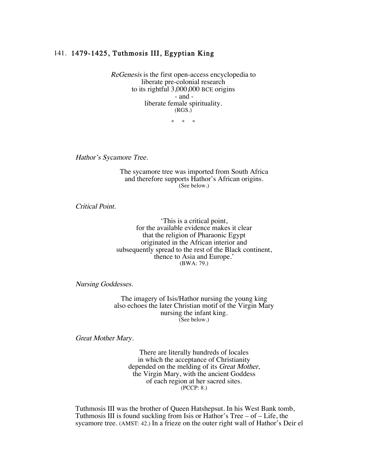## 141. 1479-1425, Tuthmosis III, Egyptian King

ReGenesis is the first open-access encyclopedia to liberate pre-colonial research to its rightful 3,000,000 BCE origins - and liberate female spirituality. (RGS.)

\* \* \*

Hathor's Sycamore Tree.

The sycamore tree was imported from South Africa and therefore supports Hathor's African origins. (See below.)

Critical Point.

'This is a critical point, for the available evidence makes it clear that the religion of Pharaonic Egypt originated in the African interior and subsequently spread to the rest of the Black continent, thence to Asia and Europe.' (BWA: 79.)

Nursing Goddesses.

The imagery of Isis/Hathor nursing the young king also echoes the later Christian motif of the Virgin Mary nursing the infant king. (See below.)

Great Mother Mary.

There are literally hundreds of locales in which the acceptance of Christianity depended on the melding of its Great Mother, the Virgin Mary, with the ancient Goddess of each region at her sacred sites. (PCCP: 8.)

Tuthmosis III was the brother of Queen Hatshepsut. In his West Bank tomb, Tuthmosis III is found suckling from Isis or Hathor's Tree – of – Life, the sycamore tree. (AMST: 42.) In a frieze on the outer right wall of Hathor's Deir el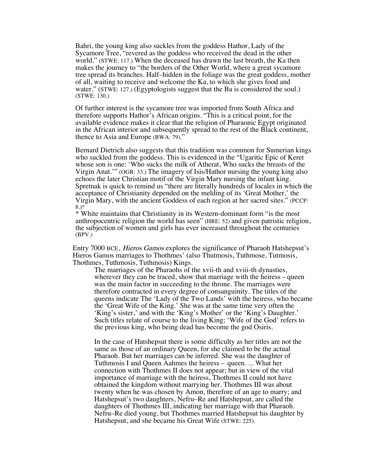Bahri, the young king also suckles from the goddess Hathor, Lady of the Sycamore Tree, "revered as the goddess who received the dead in the other world." (STWE: 117.) When the deceased has drawn the last breath, the Ka then makes the journey to "the borders of the Other World, where a great sycamore tree spread its branches. Half–hidden in the foliage was the great goddess, mother of all, waiting to receive and welcome the Ka, to which she gives food and water." (STWE: 127.) (Egyptologists suggest that the Ba is considered the soul.) (STWE: 130.)

Of further interest is the sycamore tree was imported from South Africa and therefore supports Hathor's African origins. "This is a critical point, for the available evidence makes it clear that the religion of Pharaonic Egypt originated in the African interior and subsequently spread to the rest of the Black continent, thence to Asia and Europe (BWA: 79)."

Bernard Dietrich also suggests that this tradition was common for Sumerian kings who suckled from the goddess. This is evidenced in the "Ugaritic Epic of Keret whose son is one: 'Who sucks the milk of Atherat, Who sucks the breasts of the Virgin Anat.'" (OGR: 33.) The imagery of Isis/Hathor nursing the young king also echoes the later Christian motif of the Virgin Mary nursing the infant king. Spretnak is quick to remind us "there are literally hundreds of locales in which the acceptance of Christianity depended on the melding of its 'Great Mother,' the Virgin Mary, with the ancient Goddess of each region at her sacred sites." (PCCP: 8.)\*

\* White maintains that Christianity in its Western-dominant form "is the most anthropocentric religion the world has seen" (HRE: 52) and given patristic religion, the subjection of women and girls has ever increased throughout the centuries (BPV.)

Entry 7000 BCE, Hieros Gamos explores the significance of Pharaoh Hatshepsut's Hieros Gamos marriages to Thothmes' (also Thutmosis, Tuthmose, Tutmosis, Thothmes, Tuthmosis, Tuthmosis) Kings.

The marriages of the Pharaohs of the xvii-th and xviii-th dynasties, wherever they can be traced, show that marriage with the heiress – queen was the main factor in succeeding to the throne. The marriages were therefore contracted in every degree of consanguinity. The titles of the queens indicate The 'Lady of the Two Lands' with the heiress, who became the 'Great Wife of the King.' She was at the same time very often the 'King's sister,' and with the 'King's Mother' or the 'King's Daughter.' Such titles relate of course to the living King; 'Wife of the God' refers to the previous king, who being dead has become the god Osiris.

In the case of Hatshepsut there is some difficulty as her titles are not the same as those of an ordinary Queen, for she claimed to be the actual Pharaoh. But her marriages can be inferred. She was the daughter of Tuthmosis I and Queen Aahmes the heiress – queen. ... What her connection with Thothmes II does not appear; but in view of the vital importance of marriage with the heiress, Thothmes II could not have obtained the kingdom without marrying her. Thothmes III was about twenty when he was chosen by Amon, therefore of an age to marry; and Hatshepsut's two daughters, Nefru–Re and Hatshepsut, are called the daughters of Thothmes III, indicating her marriage with that Pharaoh. Nefru–Re died young, but Thothmes married Hatshepsut his daughter by Hatshepsut, and she became his Great Wife (STWE: 225).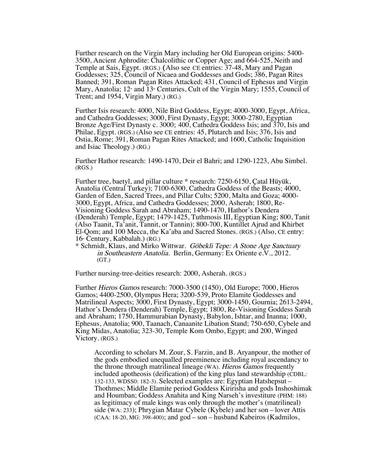Further research on the Virgin Mary including her Old European origins: 5400- 3500, Ancient Aphrodite: Chalcolithic or Copper Age; and 664-525, Neith and Temple at Sais, Egypt. (RGS.) (Also see CE entries: 37-48, Mary and Pagan Goddesses; 325, Council of Nicaea and Goddesses and Gods; 386, Pagan Rites Banned; 391, Roman Pagan Rites Attacked; 431, Council of Ephesus and Virgin Mary, Anatolia;  $12^*$  and  $13^*$  Centuries, Cult of the Virgin Mary; 1555, Council of Trent; and 1954, Virgin Mary.) (RG.)

Further Isis research: 4000, Nile Bird Goddess, Egypt; 4000-3000, Egypt, Africa, and Cathedra Goddesses; 3000, First Dynasty, Egypt; 3000-2780, Egyptian Bronze Age/First Dynasty c. 3000; 400, Cathedra Goddess Isis; and 370, Isis and Philae, Egypt. (RGS.) (Also see CE entries: 45, Plutarch and Isis; 376, Isis and Ostia, Rome; 391, Roman Pagan Rites Attacked; and 1600, Catholic Inquisition and Isiac Theology.) (RG.)

Further Hathor research: 1490-1470, Deir el Bahri; and 1290-1223, Abu Simbel. (RGS.)

Further tree, baetyl, and pillar culture \* research: 7250-6150, Çatal Hüyük, Anatolia (Central Turkey); 7100-6300, Cathedra Goddess of the Beasts; 4000, Garden of Eden, Sacred Trees, and Pillar Cults; 5200, Malta and Goza; 4000- 3000, Egypt, Africa, and Cathedra Goddesses; 2000, Asherah; 1800, Re-Visioning Goddess Sarah and Abraham; 1490-1470, Hathor's Dendera (Denderah) Temple, Egypt; 1479-1425, Tuthmosis III, Egyptian King; 800, Tanit (Also Taanit, Ta'anit, Tannit, or Tannin); 800-700, Kuntillet Ajrud and Khirbet El-Qom; and 100 Mecca, the Ka'aba and Sacred Stones. (RGS.) (Also, CE entry:  $16<sup>th</sup>$  Century, Kabbalah.) (RG.)

\* Schmidt, Klaus, and Mirko Wittwar. Göbekli Tepe: A Stone Age Sanctuary in Southeastern Anatolia. Berlin, Germany: Ex Oriente e.V., 2012. (GT.)

Further nursing-tree-deities research: 2000, Asherah. (RGS.)

Further Hieros Gamos research: 7000-3500 (1450), Old Europe; 7000, Hieros Gamos; 4400-2500, Olympus Hera; 3200-539, Proto Elamite Goddesses and Matrilineal Aspects; 3000, First Dynasty, Egypt; 3000-1450, Gournia; 2613-2494, Hathor's Dendera (Denderah) Temple, Egypt; 1800, Re-Visioning Goddess Sarah and Abraham; 1750, Hammurabian Dynasty, Babylon, Ishtar, and Inanna; 1000, Ephesus, Anatolia; 900, Taanach, Canaanite Libation Stand; 750-650, Cybele and King Midas, Anatolia; 323-30, Temple Kom Ombo, Egypt; and 200, Winged Victory. (RGS.)

According to scholars M. Zour, S. Farzin, and B. Aryanpour, the mother of the gods embodied unequalled preeminence including royal ascendancy to the throne through matrilineal lineage (WA). Hieros Gamos frequently included apotheosis (deification) of the king plus land stewardship (CDBL: 132-133, WDSS0: 182-3). Selected examples are: Egyptian Hatshepsut – Thothmes; Middle Elamite period Goddess Kiririsha and gods Inshoshimak and Houmban; Goddess Anahita and King Narseh's investiture (PHM: 188) as legitimacy of male kings was only through the mother's (matrilineal) side (WA: 233); Phrygian Matar Cybele (Kybele) and her son – lover Attis (CAA: 18-20, MG: 398-400); and god – son – husband Kabeiros (Kadmilos,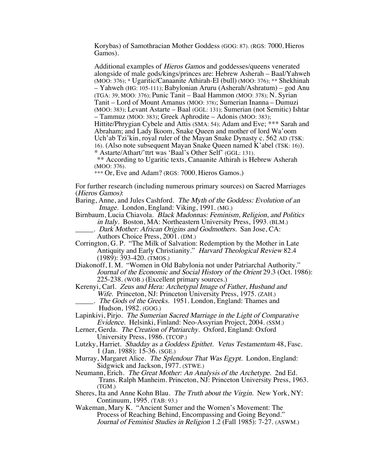Korybas) of Samothracian Mother Goddess (GOG: 87). (RGS: 7000, Hieros Gamos).

Additional examples of Hieros Gamos and goddesses/queens venerated alongside of male gods/kings/princes are: Hebrew Asherah – Baal/Yahweh (MOO: 376); \* Ugaritic/Canaanite Athirah-El (bull) (MOO: 376); \*\* Shekhinah – Yahweh (HG: 105-111); Babylonian Aruru (Asherah/Ashratum) – god Anu (TGA: 39, MOO: 376); Punic Tanit – Baal Hammon (MOO: 378); N. Syrian Tanit – Lord of Mount Amanus (MOO: 378); Sumerian Inanna – Dumuzi (MOO: 383); Levant Astarte – Baal (GGL: 131); Sumerian (not Semitic) Ishtar – Tammuz (MOO: 383); Greek Aphrodite – Adonis (MOO: 383); Hittite/Phrygian Cybele and Attis (SMA: 54); Adam and Eve; \*\*\* Sarah and Abraham; and Lady Ikoom, Snake Queen and mother of lord Wa'oom Uch'ab Tzi'kin, royal ruler of the Mayan Snake Dynasty c. 562 AD (TSK: 16). (Also note subsequent Mayan Snake Queen named K'abel (TSK: 16)). \* Astarte/Athart/'ttrt was 'Baal's Other Self' (GGL: 131).

\*\* According to Ugaritic texts, Canaanite Athirah is Hebrew Asherah (MOO: 376).

\*\*\* Or, Eve and Adam? (RGS: 7000, Hieros Gamos.)

For further research (including numerous primary sources) on Sacred Marriages (Hieros Gamos):

Baring, Anne, and Jules Cashford. The Myth of the Goddess: Evolution of an Image. London, England: Viking, 1991. (MG.)

- Birnbaum, Lucia Chiavola. Black Madonnas: Feminism, Religion, and Politics in Italy. Boston, MA: Northeastern University Press, 1993. (BLM.)
	- \_\_\_\_\_. Dark Mother: African Origins and Godmothers. San Jose, CA: Authors Choice Press, 2001. (DM.)
- Corrington, G. P. "The Milk of Salvation: Redemption by the Mother in Late Antiquity and Early Christianity." Harvard Theological Review 82.4 (1989): 393-420. (TMOS.)

Diakonoff, I. M. "Women in Old Babylonia not under Patriarchal Authority." Journal of the Economic and Social History of the Orient 29.3 (Oct. 1986): 225-238. (WOB.) (Excellent primary sources.)

Kerenyi, Carl. Zeus and Hera: Archetypal Image of Father, Husband and Wife. Princeton, NJ: Princeton University Press, 1975. (ZAH.)

\_\_\_\_\_. The Gods of the Greeks. 1951. London, England: Thames and Hudson, 1982. (GOG.)

Lapinkivi, Pirjo. The Sumerian Sacred Marriage in the Light of Comparative Evidence. Helsinki, Finland: Neo-Assyrian Project, 2004. (SSM.)

Lerner, Gerda. The Creation of Patriarchy. Oxford, England: Oxford University Press, 1986. (TCOP.)

Lutzky, Harriet. Shadday as a Goddess Epithet. Vetus Testamentum 48, Fasc. 1 (Jan. 1988): 15-36. (SGE.)

- Murray, Margaret Alice. The Splendour That Was Egypt. London, England: Sidgwick and Jackson, 1977. (STWE.)
- Neumann, Erich. The Great Mother: An Analysis of the Archetype. 2nd Ed. Trans. Ralph Manheim. Princeton, NJ: Princeton University Press, 1963. (TGM.)
- Sheres, Ita and Anne Kohn Blau. The Truth about the Virgin. New York, NY: Continuum, 1995. (TAB: 93.)

Wakeman, Mary K. "Ancient Sumer and the Women's Movement: The Process of Reaching Behind, Encompassing and Going Beyond." Journal of Feminist Studies in Religion 1.2 (Fall 1985): 7-27. (ASWM.)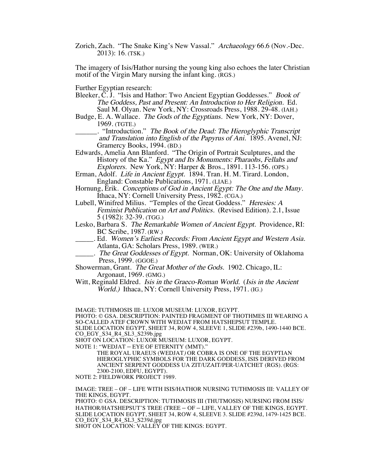Zorich, Zach. "The Snake King's New Vassal." Archaeology 66.6 (Nov.-Dec. 2013): 16. (TSK.)

The imagery of Isis/Hathor nursing the young king also echoes the later Christian motif of the Virgin Mary nursing the infant king. (RGS.)

Further Egyptian research:

- Bleeker, C. J. "Isis and Hathor: Two Ancient Egyptian Goddesses." Book of The Goddess, Past and Present: An Introduction to Her Religion. Ed. Saul M. Olyan. New York, NY: Crossroads Press, 1988. 29-48. (IAH.)
- Budge, E. A. Wallace. The Gods of the Egyptians. New York, NY: Dover, 1969. (TGTE.)

\_\_\_\_\_\_. "Introduction." The Book of the Dead: The Hieroglyphic Transcript and Translation into English of the Papyrus of Ani. 1895. Avenel, NJ: Gramercy Books, 1994. (BD.)

- Edwards, Amelia Ann Blanford. "The Origin of Portrait Sculptures, and the History of the Ka." *Egypt and Its Monuments: Pharaohs, Fellahs and* Explorers. New York, NY: Harper & Bros., 1891. 113-156. (OPS.)
- Erman, Adolf. Life in Ancient Egypt. 1894. Tran. H. M. Tirard. London, England: Constable Publications, 1971. (LIAE.)
- Hornung, Erik. Conceptions of God in Ancient Egypt: The One and the Many. Ithaca, NY: Cornell University Press, 1982. (CGA.)
- Lubell, Winifred Milius. "Temples of the Great Goddess." Heresies: A Feminist Publication on Art and Politics. (Revised Edition). 2.1, Issue 5 (1982): 32-39. (TGG.)
- Lesko, Barbara S. The Remarkable Women of Ancient Egypt. Providence, RI: BC Scribe, 1987. (RW.)
- \_\_\_\_\_. Ed. Women's Earliest Records: From Ancient Egypt and Western Asia. Atlanta, GA: Scholars Press, 1989. (WER.)
- \_\_\_\_\_. The Great Goddesses of Egypt. Norman, OK: University of Oklahoma Press, 1999. (GGOE.)
- Showerman, Grant. The Great Mother of the Gods. 1902. Chicago, IL: Argonaut, 1969. (GMG.)
- Witt, Reginald Eldred. *Isis in the Graeco-Roman World.* (*Isis in the Ancient* World.) Ithaca, NY: Cornell University Press, 1971. (IG.)

IMAGE: TUTHMOSIS III: LUXOR MUSEUM: LUXOR, EGYPT.

PHOTO: © GSA. DESCRIPTION: PAINTED FRAGMENT OF THOTHMES III WEARING A SO-CALLED ATEF CROWN WITH WEDJAT FROM HATSHEPSUT TEMPLE. SLIDE LOCATION EGYPT, SHEET 34, ROW 4, SLEEVE 1, SLIDE #239b, 1490-1440 BCE. CO\_EGY\_S34\_R4\_SL3\_S239b.jpg

SHOT ON LOCATION: LUXOR MUSEUM: LUXOR, EGYPT.

NOTE 1: "WEDJAT – EYE OF ETERNITY (MMT)."

THE ROYAL URAEUS (WEDJAT) OR COBRA IS ONE OF THE EGYPTIAN HIEROGLYPHIC SYMBOLS FOR THE DARK GODDESS, ISIS DERIVED FROM ANCIENT SERPENT GODDESS UA ZIT/UZAIT/PER-UATCHET (RGS). (RGS: 2300-2100, EDFU, EGYPT).

NOTE 2: FIELDWORK PROJECT 1989.

IMAGE: TREE – OF – LIFE WITH ISIS/HATHOR NURSING TUTHMOSIS III: VALLEY OF THE KINGS, EGYPT.

PHOTO: © GSA. DESCRIPTION: TUTHMOSIS III (THUTMOSIS) NURSING FROM ISIS/ HATHOR/HATSHEPSUT'S TREE (TREE – OF – LIFE, VALLEY OF THE KINGS, EGYPT. SLIDE LOCATION EGYPT, SHEET 34, ROW 4, SLEEVE 3. SLIDE #239d, 1479-1425 BCE. CO\_EGY\_S34\_R4\_SL3\_S239d.jpg

SHOT ON LOCATION: VALLEY OF THE KINGS: EGYPT.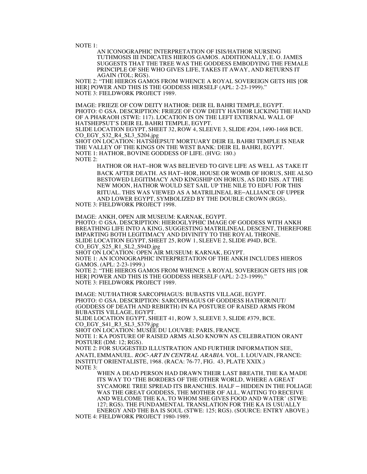NOTE 1:

AN ICONOGRAPHIC INTERPRETATION OF ISIS/HATHOR NURSING TUTHMOSIS III INDICATES HIEROS GAMOS. ADDITIONALLY, E. O. JAMES SUGGESTS THAT THE TREE WAS THE GODDESS EMBODYING THE FEMALE PRINCIPLE OF SHE WHO GIVES LIFE, TAKES IT AWAY, AND RETURNS IT AGAIN (TOL; RGS).

NOTE 2: "THE HIEROS GAMOS FROM WHENCE A ROYAL SOVEREIGN GETS HIS [OR HER] POWER AND THIS IS THE GODDESS HERSELF (APL: 2-23-1999)." NOTE 3: FIELDWORK PROJECT 1989.

IMAGE: FRIEZE OF COW DEITY HATHOR: DEIR EL BAHRI TEMPLE, EGYPT. PHOTO: © GSA. DESCRIPTION: FRIEZE OF COW DEITY HATHOR LICKING THE HAND OF A PHARAOH (STWE: 117). LOCATION IS ON THE LEFT EXTERNAL WALL OF HATSHEPSUT'S DEIR EL BAHRI TEMPLE, EGYPT.

SLIDE LOCATION EGYPT, SHEET 32, ROW 4, SLEEVE 3, SLIDE #204, 1490-1468 BCE. CO\_EGY\_S32\_R4\_SL3\_S204.jpg

SHOT ON LOCATION: HATSHEPSUT MORTUARY DEIR EL BAHRI TEMPLE IS NEAR THE VALLEY OF THE KINGS ON THE WEST BANK: DEIR EL BAHRI, EGYPT. NOTE 1: HATHOR, BOVINE GODDESS OF LIFE. (HVG: 180.) NOTE 2:

HATHOR OR HAT–HOR WAS BELIEVED TO GIVE LIFE AS WELL AS TAKE IT BACK AFTER DEATH. AS HAT–HOR, HOUSE OR WOMB OF HORUS, SHE ALSO BESTOWED LEGITIMACY AND KINGSHIP ON HORUS, AS DID ISIS. AT THE NEW MOON, HATHOR WOULD SET SAIL UP THE NILE TO EDFU FOR THIS RITUAL. THIS WAS VIEWED AS A MATRILINEAL RE–ALLIANCE OF UPPER AND LOWER EGYPT, SYMBOLIZED BY THE DOUBLE CROWN (RGS).

NOTE 3: FIELDWORK PROJECT 1998.

IMAGE: ANKH, OPEN AIR MUSEUM: KARNAK, EGYPT. PHOTO: © GSA. DESCRIPTION: HIEROGLYPHIC IMAGE OF GODDESS WITH ANKH BREATHING LIFE INTO A KING, SUGGESTING MATRILINEAL DESCENT, THEREFORE IMPARTING BOTH LEGITIMACY AND DIVINITY TO THE ROYAL THRONE. SLIDE LOCATION EGYPT, SHEET 25, ROW 1, SLEEVE 2, SLIDE #94D, BCE. CO\_EGY\_S25\_R1\_SL2\_S94D.jpg

SHOT ON LOCATION: OPEN AIR MUSEUM: KARNAK, EGYPT.

NOTE 1: AN ICONOGRAPHIC INTERPRETATION OF THE ANKH INCLUDES HIEROS GAMOS. (APL: 2-23-1999.)

NOTE 2: "THE HIEROS GAMOS FROM WHENCE A ROYAL SOVEREIGN GETS HIS [OR HER] POWER AND THIS IS THE GODDESS HERSELF (APL: 2-23-1999)." NOTE 3: FIELDWORK PROJECT 1989.

IMAGE: NUT/HATHOR SARCOPHAGUS: BUBASTIS VILLAGE, EGYPT. PHOTO: © GSA. DESCRIPTION: SARCOPHAGUS OF GODDESS HATHOR/NUT/ (GODDESS OF DEATH AND REBIRTH) IN KA POSTURE OF RAISED ARMS FROM BUBASTIS VILLAGE, EGYPT.

SLIDE LOCATION EGYPT, SHEET 41, ROW 3, SLEEVE 3, SLIDE #379, BCE. CO\_EGY\_S41\_R3\_SL3\_S379.jpg

SHOT ON LOCATION: MUSÉE DU LOUVRE: PARIS, FRANCE.

NOTE 1: KA POSTURE OF RAISED ARMS ALSO KNOWN AS CELEBRATION ORANT POSTURE (DM: 12; RGS).

NOTE 2: FOR SUGGESTED ILLUSTRATION AND FURTHER INFORMATION SEE, ANATI, EMMANUEL. ROC-ART IN CENTRAL ARABIA. VOL. I. LOUVAIN, FRANCE: INSTITUT ORIENTALISTE, 1968. (RACA: 76-77, FIG. 43, PLATE XXIX.) NOTE 3:

WHEN A DEAD PERSON HAD DRAWN THEIR LAST BREATH, THE KA MADE ITS WAY TO 'THE BORDERS OF THE OTHER WORLD, WHERE A GREAT SYCAMORE TREE SPREAD ITS BRANCHES. HALF – HIDDEN IN THE FOLIAGE WAS THE GREAT GODDESS, THE MOTHER OF ALL, WAITING TO RECEIVE AND WELCOME THE KA, TO WHOM SHE GIVES FOOD AND WATER' (STWE: 127; RGS). THE FUNDAMENTAL TRANSLATION FOR THE KA IS USUALLY ENERGY AND THE BA IS SOUL (STWE: 125; RGS). (SOURCE: ENTRY ABOVE.) NOTE 4: FIELDWORK PROJECT 1980-1989.